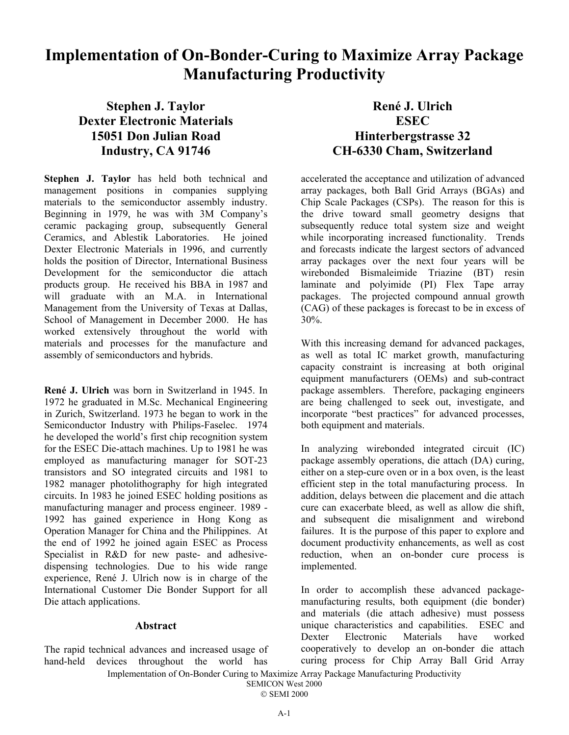# **Implementation of On-Bonder-Curing to Maximize Array Package Manufacturing Productivity**

# **Stephen J. Taylor Dexter Electronic Materials 15051 Don Julian Road Industry, CA 91746**

**Stephen J. Taylor** has held both technical and management positions in companies supplying materials to the semiconductor assembly industry. Beginning in 1979, he was with 3M Company's ceramic packaging group, subsequently General Ceramics, and Ablestik Laboratories. He joined Dexter Electronic Materials in 1996, and currently holds the position of Director, International Business Development for the semiconductor die attach products group. He received his BBA in 1987 and will graduate with an M.A. in International Management from the University of Texas at Dallas, School of Management in December 2000. He has worked extensively throughout the world with materials and processes for the manufacture and assembly of semiconductors and hybrids.

**René J. Ulrich** was born in Switzerland in 1945. In 1972 he graduated in M.Sc. Mechanical Engineering in Zurich, Switzerland. 1973 he began to work in the Semiconductor Industry with Philips-Faselec. 1974 he developed the world's first chip recognition system for the ESEC Die-attach machines. Up to 1981 he was employed as manufacturing manager for SOT-23 transistors and SO integrated circuits and 1981 to 1982 manager photolithography for high integrated circuits. In 1983 he joined ESEC holding positions as manufacturing manager and process engineer. 1989 - 1992 has gained experience in Hong Kong as Operation Manager for China and the Philippines. At the end of 1992 he joined again ESEC as Process Specialist in R&D for new paste- and adhesivedispensing technologies. Due to his wide range experience, René J. Ulrich now is in charge of the International Customer Die Bonder Support for all Die attach applications.

# **Abstract**

The rapid technical advances and increased usage of hand-held devices throughout the world has

# **René J. Ulrich ESEC Hinterbergstrasse 32 CH-6330 Cham, Switzerland**

accelerated the acceptance and utilization of advanced array packages, both Ball Grid Arrays (BGAs) and Chip Scale Packages (CSPs). The reason for this is the drive toward small geometry designs that subsequently reduce total system size and weight while incorporating increased functionality. Trends and forecasts indicate the largest sectors of advanced array packages over the next four years will be wirebonded Bismaleimide Triazine (BT) resin laminate and polyimide (PI) Flex Tape array packages. The projected compound annual growth (CAG) of these packages is forecast to be in excess of 30%.

With this increasing demand for advanced packages, as well as total IC market growth, manufacturing capacity constraint is increasing at both original equipment manufacturers (OEMs) and sub-contract package assemblers. Therefore, packaging engineers are being challenged to seek out, investigate, and incorporate "best practices" for advanced processes, both equipment and materials.

In analyzing wirebonded integrated circuit (IC) package assembly operations, die attach (DA) curing, either on a step-cure oven or in a box oven, is the least efficient step in the total manufacturing process. In addition, delays between die placement and die attach cure can exacerbate bleed, as well as allow die shift, and subsequent die misalignment and wirebond failures. It is the purpose of this paper to explore and document productivity enhancements, as well as cost reduction, when an on-bonder cure process is implemented.

In order to accomplish these advanced packagemanufacturing results, both equipment (die bonder) and materials (die attach adhesive) must possess unique characteristics and capabilities. ESEC and Dexter Electronic Materials have worked cooperatively to develop an on-bonder die attach curing process for Chip Array Ball Grid Array

Implementation of On-Bonder Curing to Maximize Array Package Manufacturing Productivity SEMICON West 2000

© SEMI 2000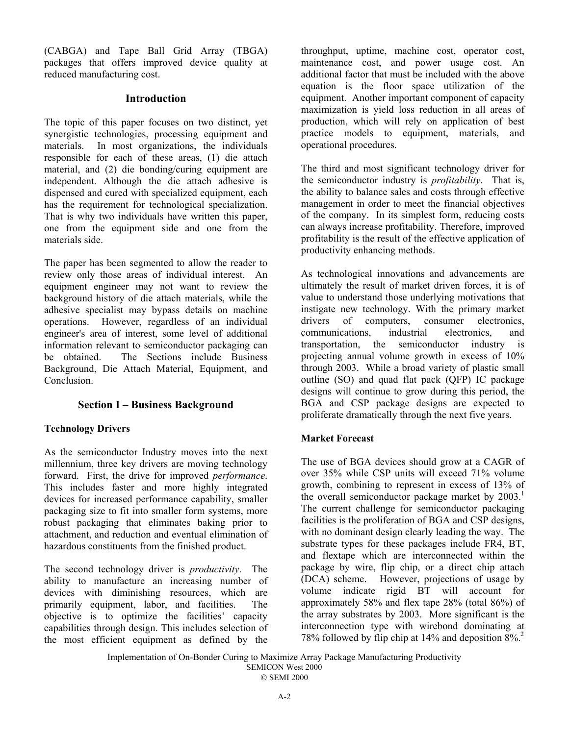(CABGA) and Tape Ball Grid Array (TBGA) packages that offers improved device quality at reduced manufacturing cost.

# **Introduction**

The topic of this paper focuses on two distinct, yet synergistic technologies, processing equipment and materials. In most organizations, the individuals responsible for each of these areas, (1) die attach material, and (2) die bonding/curing equipment are independent. Although the die attach adhesive is dispensed and cured with specialized equipment, each has the requirement for technological specialization. That is why two individuals have written this paper, one from the equipment side and one from the materials side.

The paper has been segmented to allow the reader to review only those areas of individual interest. An equipment engineer may not want to review the background history of die attach materials, while the adhesive specialist may bypass details on machine operations. However, regardless of an individual engineer's area of interest, some level of additional information relevant to semiconductor packaging can be obtained. The Sections include Business Background, Die Attach Material, Equipment, and Conclusion.

# **Section I – Business Background**

# **Technology Drivers**

As the semiconductor Industry moves into the next millennium, three key drivers are moving technology forward. First, the drive for improved *performance*. This includes faster and more highly integrated devices for increased performance capability, smaller packaging size to fit into smaller form systems, more robust packaging that eliminates baking prior to attachment, and reduction and eventual elimination of hazardous constituents from the finished product.

The second technology driver is *productivity*. The ability to manufacture an increasing number of devices with diminishing resources, which are primarily equipment, labor, and facilities. The objective is to optimize the facilities' capacity capabilities through design. This includes selection of the most efficient equipment as defined by the

throughput, uptime, machine cost, operator cost, maintenance cost, and power usage cost. An additional factor that must be included with the above equation is the floor space utilization of the equipment. Another important component of capacity maximization is yield loss reduction in all areas of production, which will rely on application of best practice models to equipment, materials, and operational procedures.

The third and most significant technology driver for the semiconductor industry is *profitability*. That is, the ability to balance sales and costs through effective management in order to meet the financial objectives of the company. In its simplest form, reducing costs can always increase profitability. Therefore, improved profitability is the result of the effective application of productivity enhancing methods.

As technological innovations and advancements are ultimately the result of market driven forces, it is of value to understand those underlying motivations that instigate new technology. With the primary market drivers of computers, consumer electronics, communications, industrial electronics, and transportation, the semiconductor industry is projecting annual volume growth in excess of 10% through 2003. While a broad variety of plastic small outline (SO) and quad flat pack (QFP) IC package designs will continue to grow during this period, the BGA and CSP package designs are expected to proliferate dramatically through the next five years.

## **Market Forecast**

The use of BGA devices should grow at a CAGR of over 35% while CSP units will exceed 71% volume growth, combining to represent in excess of 13% of the overall semiconductor package market by  $2003$ .<sup>1</sup> The current challenge for semiconductor packaging facilities is the proliferation of BGA and CSP designs, with no dominant design clearly leading the way. The substrate types for these packages include FR4, BT, and flextape which are interconnected within the package by wire, flip chip, or a direct chip attach (DCA) scheme. However, projections of usage by volume indicate rigid BT will account for approximately 58% and flex tape 28% (total 86%) of the array substrates by 2003. More significant is the interconnection type with wirebond dominating at 78% followed by flip chip at 14% and deposition 8%.2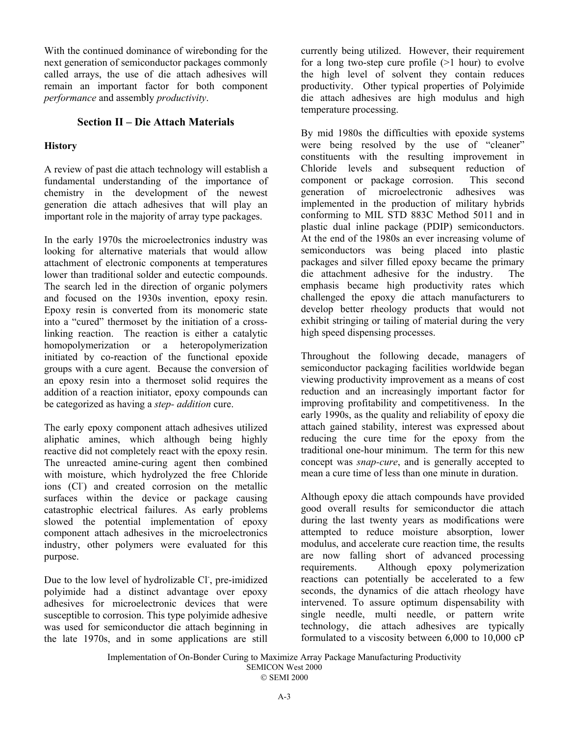With the continued dominance of wirebonding for the next generation of semiconductor packages commonly called arrays, the use of die attach adhesives will remain an important factor for both component *performance* and assembly *productivity*.

# **Section II – Die Attach Materials**

# **History**

A review of past die attach technology will establish a fundamental understanding of the importance of chemistry in the development of the newest generation die attach adhesives that will play an important role in the majority of array type packages.

In the early 1970s the microelectronics industry was looking for alternative materials that would allow attachment of electronic components at temperatures lower than traditional solder and eutectic compounds. The search led in the direction of organic polymers and focused on the 1930s invention, epoxy resin. Epoxy resin is converted from its monomeric state into a "cured" thermoset by the initiation of a crosslinking reaction. The reaction is either a catalytic homopolymerization or a heteropolymerization initiated by co-reaction of the functional epoxide groups with a cure agent. Because the conversion of an epoxy resin into a thermoset solid requires the addition of a reaction initiator, epoxy compounds can be categorized as having a *step- addition* cure.

The early epoxy component attach adhesives utilized aliphatic amines, which although being highly reactive did not completely react with the epoxy resin. The unreacted amine-curing agent then combined with moisture, which hydrolyzed the free Chloride ions (CI) and created corrosion on the metallic surfaces within the device or package causing catastrophic electrical failures. As early problems slowed the potential implementation of epoxy component attach adhesives in the microelectronics industry, other polymers were evaluated for this purpose.

Due to the low level of hydrolizable Cl<sup>-</sup>, pre-imidized polyimide had a distinct advantage over epoxy adhesives for microelectronic devices that were susceptible to corrosion. This type polyimide adhesive was used for semiconductor die attach beginning in the late 1970s, and in some applications are still

currently being utilized. However, their requirement for a long two-step cure profile  $(>1$  hour) to evolve the high level of solvent they contain reduces productivity. Other typical properties of Polyimide die attach adhesives are high modulus and high temperature processing.

By mid 1980s the difficulties with epoxide systems were being resolved by the use of "cleaner" constituents with the resulting improvement in Chloride levels and subsequent reduction of component or package corrosion. This second generation of microelectronic adhesives was implemented in the production of military hybrids conforming to MIL STD 883C Method 5011 and in plastic dual inline package (PDIP) semiconductors. At the end of the 1980s an ever increasing volume of semiconductors was being placed into plastic packages and silver filled epoxy became the primary die attachment adhesive for the industry. The emphasis became high productivity rates which challenged the epoxy die attach manufacturers to develop better rheology products that would not exhibit stringing or tailing of material during the very high speed dispensing processes.

Throughout the following decade, managers of semiconductor packaging facilities worldwide began viewing productivity improvement as a means of cost reduction and an increasingly important factor for improving profitability and competitiveness. In the early 1990s, as the quality and reliability of epoxy die attach gained stability, interest was expressed about reducing the cure time for the epoxy from the traditional one-hour minimum. The term for this new concept was *snap-cure*, and is generally accepted to mean a cure time of less than one minute in duration.

Although epoxy die attach compounds have provided good overall results for semiconductor die attach during the last twenty years as modifications were attempted to reduce moisture absorption, lower modulus, and accelerate cure reaction time, the results are now falling short of advanced processing requirements. Although epoxy polymerization reactions can potentially be accelerated to a few seconds, the dynamics of die attach rheology have intervened. To assure optimum dispensability with single needle, multi needle, or pattern write technology, die attach adhesives are typically formulated to a viscosity between 6,000 to 10,000 cP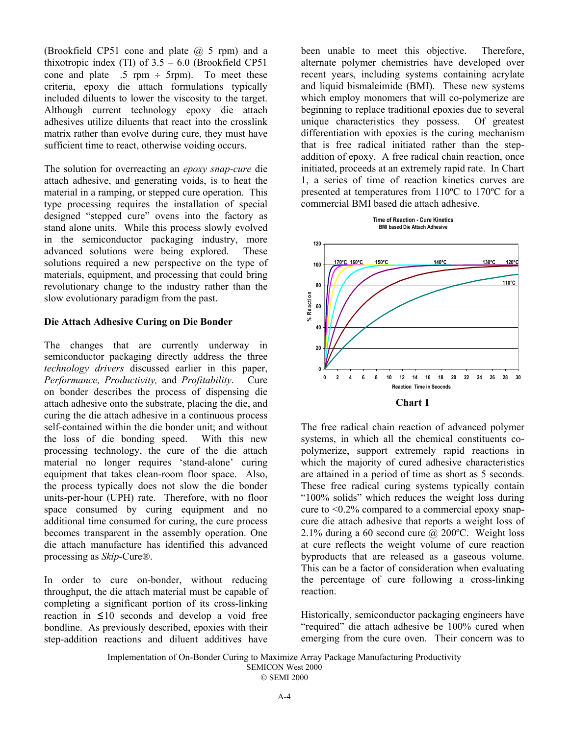(Brookfield CP51 cone and plate  $(a)$  5 rpm) and a thixotropic index (TI) of  $3.5 - 6.0$  (Brookfield CP51) cone and plate  $.5$  rpm  $\div$  5rpm). To meet these criteria, epoxy die attach formulations typically included diluents to lower the viscosity to the target. Although current technology epoxy die attach adhesives utilize diluents that react into the crosslink matrix rather than evolve during cure, they must have sufficient time to react, otherwise voiding occurs.

The solution for overreacting an *epoxy snap-cure* die attach adhesive, and generating voids, is to heat the material in a ramping, or stepped cure operation. This type processing requires the installation of special designed "stepped cure" ovens into the factory as stand alone units. While this process slowly evolved in the semiconductor packaging industry, more advanced solutions were being explored. These solutions required a new perspective on the type of materials, equipment, and processing that could bring revolutionary change to the industry rather than the slow evolutionary paradigm from the past.

## **Die Attach Adhesive Curing on Die Bonder**

The changes that are currently underway in semiconductor packaging directly address the three *technology drivers* discussed earlier in this paper, *Performance, Productivity,* and *Profitability*. Cure on bonder describes the process of dispensing die attach adhesive onto the substrate, placing the die, and curing the die attach adhesive in a continuous process self-contained within the die bonder unit; and without the loss of die bonding speed. With this new processing technology, the cure of the die attach material no longer requires 'stand-alone' curing equipment that takes clean-room floor space. Also, the process typically does not slow the die bonder units-per-hour (UPH) rate. Therefore, with no floor space consumed by curing equipment and no additional time consumed for curing, the cure process becomes transparent in the assembly operation. One die attach manufacture has identified this advanced processing as *Skip*-Cure®.

In order to cure on-bonder, without reducing throughput, the die attach material must be capable of completing a significant portion of its cross-linking reaction in  $\leq 10$  seconds and develop a void free bondline. As previously described, epoxies with their step-addition reactions and diluent additives have

been unable to meet this objective. Therefore, alternate polymer chemistries have developed over recent years, including systems containing acrylate and liquid bismaleimide (BMI). These new systems which employ monomers that will co-polymerize are beginning to replace traditional epoxies due to several unique characteristics they possess. Of greatest differentiation with epoxies is the curing mechanism that is free radical initiated rather than the stepaddition of epoxy. A free radical chain reaction, once initiated, proceeds at an extremely rapid rate. In Chart 1, a series of time of reaction kinetics curves are presented at temperatures from 110ºC to 170ºC for a commercial BMI based die attach adhesive.



The free radical chain reaction of advanced polymer systems, in which all the chemical constituents copolymerize, support extremely rapid reactions in which the majority of cured adhesive characteristics are attained in a period of time as short as 5 seconds. These free radical curing systems typically contain "100% solids" which reduces the weight loss during cure to <0.2% compared to a commercial epoxy snapcure die attach adhesive that reports a weight loss of 2.1% during a 60 second cure  $\omega$  200°C. Weight loss at cure reflects the weight volume of cure reaction byproducts that are released as a gaseous volume. This can be a factor of consideration when evaluating the percentage of cure following a cross-linking reaction.

Historically, semiconductor packaging engineers have "required" die attach adhesive be 100% cured when emerging from the cure oven. Their concern was to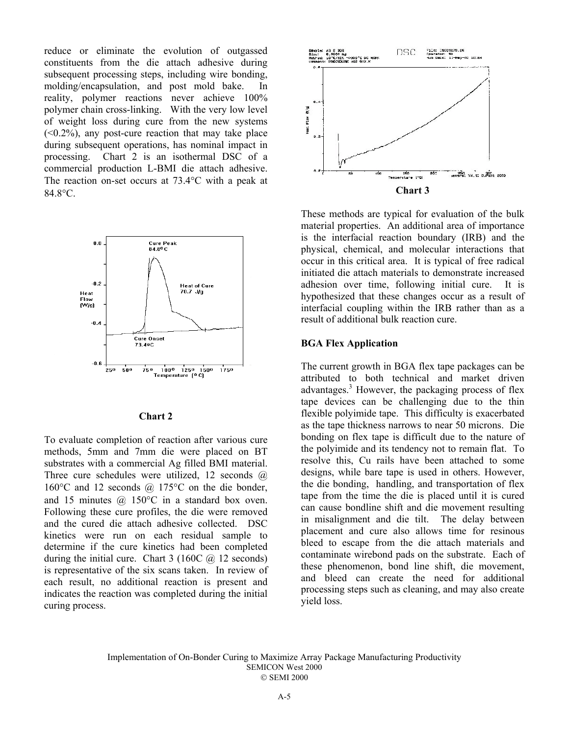reduce or eliminate the evolution of outgassed constituents from the die attach adhesive during subsequent processing steps, including wire bonding, molding/encapsulation, and post mold bake. In reality, polymer reactions never achieve 100% polymer chain cross-linking. With the very low level of weight loss during cure from the new systems  $( $0.2\%$ )$ , any post-cure reaction that may take place during subsequent operations, has nominal impact in processing. Chart 2 is an isothermal DSC of a commercial production L-BMI die attach adhesive. The reaction on-set occurs at 73.4°C with a peak at 84.8°C.



#### **Chart 2**

To evaluate completion of reaction after various cure methods, 5mm and 7mm die were placed on BT substrates with a commercial Ag filled BMI material. Three cure schedules were utilized, 12 seconds  $\omega$ 160 $\degree$ C and 12 seconds  $\omega$  175 $\degree$ C on the die bonder, and 15 minutes @ 150°C in a standard box oven. Following these cure profiles, the die were removed and the cured die attach adhesive collected. DSC kinetics were run on each residual sample to determine if the cure kinetics had been completed during the initial cure. Chart  $3(160C \quad \textcircled{a})$  12 seconds) is representative of the six scans taken. In review of each result, no additional reaction is present and indicates the reaction was completed during the initial curing process.



These methods are typical for evaluation of the bulk material properties. An additional area of importance is the interfacial reaction boundary (IRB) and the physical, chemical, and molecular interactions that occur in this critical area. It is typical of free radical initiated die attach materials to demonstrate increased adhesion over time, following initial cure. It is hypothesized that these changes occur as a result of interfacial coupling within the IRB rather than as a result of additional bulk reaction cure.

#### **BGA Flex Application**

The current growth in BGA flex tape packages can be attributed to both technical and market driven advantages.<sup>3</sup> However, the packaging process of flex tape devices can be challenging due to the thin flexible polyimide tape. This difficulty is exacerbated as the tape thickness narrows to near 50 microns. Die bonding on flex tape is difficult due to the nature of the polyimide and its tendency not to remain flat. To resolve this, Cu rails have been attached to some designs, while bare tape is used in others. However, the die bonding, handling, and transportation of flex tape from the time the die is placed until it is cured can cause bondline shift and die movement resulting in misalignment and die tilt. The delay between placement and cure also allows time for resinous bleed to escape from the die attach materials and contaminate wirebond pads on the substrate. Each of these phenomenon, bond line shift, die movement, and bleed can create the need for additional processing steps such as cleaning, and may also create yield loss.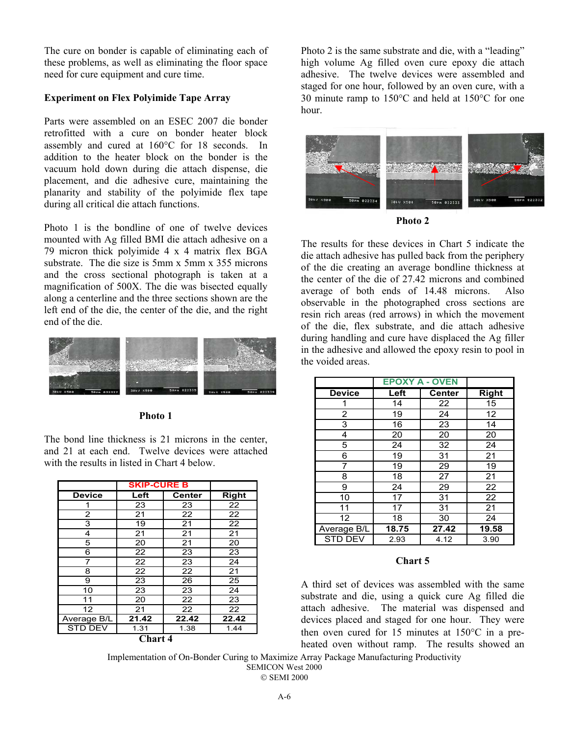The cure on bonder is capable of eliminating each of these problems, as well as eliminating the floor space need for cure equipment and cure time.

# **Experiment on Flex Polyimide Tape Array**

Parts were assembled on an ESEC 2007 die bonder retrofitted with a cure on bonder heater block assembly and cured at 160°C for 18 seconds. In addition to the heater block on the bonder is the vacuum hold down during die attach dispense, die placement, and die adhesive cure, maintaining the planarity and stability of the polyimide flex tape during all critical die attach functions.

Photo 1 is the bondline of one of twelve devices mounted with Ag filled BMI die attach adhesive on a 79 micron thick polyimide 4 x 4 matrix flex BGA substrate. The die size is 5mm x 5mm x 355 microns and the cross sectional photograph is taken at a magnification of 500X. The die was bisected equally along a centerline and the three sections shown are the left end of the die, the center of the die, and the right end of the die.



#### **Photo 1**

The bond line thickness is 21 microns in the center, and 21 at each end. Twelve devices were attached with the results in listed in Chart 4 below.

|                | <b>SKIP-CURE B</b> |               |              |
|----------------|--------------------|---------------|--------------|
| <b>Device</b>  | Left               | <b>Center</b> | <b>Right</b> |
|                | 23                 | 23            | 22           |
| 2              | 21                 | 22            | 22           |
| 3              | 19                 | 21            | 22           |
| 4              | 21                 | 21            | 21           |
| 5              | 20                 | 21            | 20           |
| 6              | 22                 | 23            | 23           |
| 7              | 22                 | 23            | 24           |
| 8              | 22                 | 22            | 21           |
| 9              | 23                 | 26            | 25           |
| 10             | 23                 | 23            | 24           |
| 11             | 20                 | 22            | 23           |
| 12             | 21                 | 22            | 22           |
| Average B/L    | 21.42              | 22.42         | 22.42        |
| <b>STD DEV</b> | 1.31               | 1.38          | 1.44         |

**Chart 4**

Photo 2 is the same substrate and die, with a "leading" high volume Ag filled oven cure epoxy die attach adhesive. The twelve devices were assembled and staged for one hour, followed by an oven cure, with a 30 minute ramp to 150°C and held at 150°C for one hour.



**Photo 2**

The results for these devices in Chart 5 indicate the die attach adhesive has pulled back from the periphery of the die creating an average bondline thickness at the center of the die of 27.42 microns and combined average of both ends of 14.48 microns. Also observable in the photographed cross sections are resin rich areas (red arrows) in which the movement of the die, flex substrate, and die attach adhesive during handling and cure have displaced the Ag filler in the adhesive and allowed the epoxy resin to pool in the voided areas.

|                | <b>EPOXY A - OVEN</b> |               |              |
|----------------|-----------------------|---------------|--------------|
| <b>Device</b>  | Left                  | <b>Center</b> | <b>Right</b> |
|                | 14                    | 22            | 15           |
| 2              | 19                    | 24            | 12           |
| 3              | 16                    | 23            | 14           |
| 4              | 20                    | 20            | 20           |
| 5              | 24                    | 32            | 24           |
| 6              | 19                    | 31            | 21           |
| 7              | 19                    | 29            | 19           |
| 8              | 18                    | 27            | 21           |
| 9              | 24                    | 29            | 22           |
| 10             | 17                    | 31            | 22           |
| 11             | 17                    | 31            | 21           |
| 12             | 18                    | 30            | 24           |
| Average B/L    | 18.75                 | 27.42         | 19.58        |
| <b>STD DEV</b> | 2.93                  | 4.12          | 3.90         |

#### **Chart 5**

A third set of devices was assembled with the same substrate and die, using a quick cure Ag filled die attach adhesive. The material was dispensed and devices placed and staged for one hour. They were then oven cured for 15 minutes at 150°C in a preheated oven without ramp. The results showed an

Implementation of On-Bonder Curing to Maximize Array Package Manufacturing Productivity SEMICON West 2000

© SEMI 2000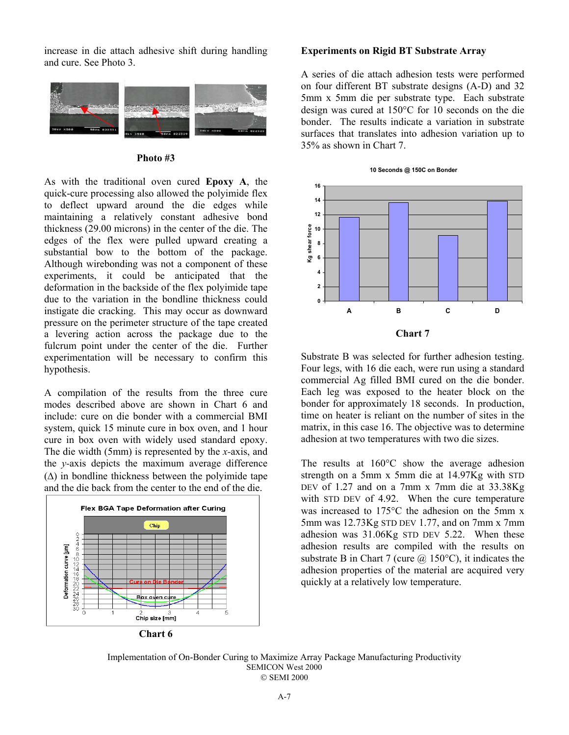increase in die attach adhesive shift during handling and cure. See Photo 3.



#### **Photo #3**

As with the traditional oven cured **Epoxy A**, the quick-cure processing also allowed the polyimide flex to deflect upward around the die edges while maintaining a relatively constant adhesive bond thickness (29.00 microns) in the center of the die. The edges of the flex were pulled upward creating a substantial bow to the bottom of the package. Although wirebonding was not a component of these experiments, it could be anticipated that the deformation in the backside of the flex polyimide tape due to the variation in the bondline thickness could instigate die cracking. This may occur as downward pressure on the perimeter structure of the tape created a levering action across the package due to the fulcrum point under the center of the die. Further experimentation will be necessary to confirm this hypothesis.

A compilation of the results from the three cure modes described above are shown in Chart 6 and include: cure on die bonder with a commercial BMI system, quick 15 minute cure in box oven, and 1 hour cure in box oven with widely used standard epoxy. The die width (5mm) is represented by the *x-*axis, and the *y-*axis depicts the maximum average difference  $(\Delta)$  in bondline thickness between the polyimide tape and the die back from the center to the end of the die.



**Chart 6**

#### **Experiments on Rigid BT Substrate Array**

A series of die attach adhesion tests were performed on four different BT substrate designs (A-D) and 32 5mm x 5mm die per substrate type. Each substrate design was cured at 150°C for 10 seconds on the die bonder. The results indicate a variation in substrate surfaces that translates into adhesion variation up to 35% as shown in Chart 7.



Substrate B was selected for further adhesion testing. Four legs, with 16 die each, were run using a standard commercial Ag filled BMI cured on the die bonder. Each leg was exposed to the heater block on the bonder for approximately 18 seconds. In production, time on heater is reliant on the number of sites in the matrix, in this case 16. The objective was to determine adhesion at two temperatures with two die sizes.

The results at 160°C show the average adhesion strength on a 5mm x 5mm die at 14.97Kg with STD DEV of 1.27 and on a 7mm x 7mm die at 33.38Kg with STD DEV of 4.92. When the cure temperature was increased to 175°C the adhesion on the 5mm x 5mm was 12.73Kg STD DEV 1.77, and on 7mm x 7mm adhesion was 31.06Kg STD DEV 5.22. When these adhesion results are compiled with the results on substrate B in Chart 7 (cure  $\omega$  150°C), it indicates the adhesion properties of the material are acquired very quickly at a relatively low temperature.

Implementation of On-Bonder Curing to Maximize Array Package Manufacturing Productivity SEMICON West 2000 © SEMI 2000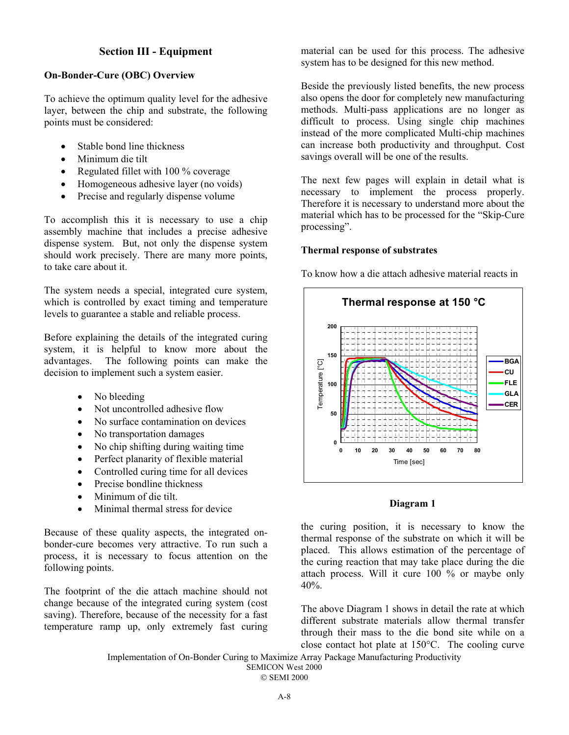# **Section III - Equipment**

# **On-Bonder-Cure (OBC) Overview**

To achieve the optimum quality level for the adhesive layer, between the chip and substrate, the following points must be considered:

- Stable bond line thickness
- Minimum die tilt
- Regulated fillet with 100 % coverage
- Homogeneous adhesive layer (no voids)
- Precise and regularly dispense volume

To accomplish this it is necessary to use a chip assembly machine that includes a precise adhesive dispense system. But, not only the dispense system should work precisely. There are many more points, to take care about it.

The system needs a special, integrated cure system, which is controlled by exact timing and temperature levels to guarantee a stable and reliable process.

Before explaining the details of the integrated curing system, it is helpful to know more about the advantages. The following points can make the decision to implement such a system easier.

- No bleeding
- Not uncontrolled adhesive flow
- No surface contamination on devices
- No transportation damages
- No chip shifting during waiting time
- Perfect planarity of flexible material
- Controlled curing time for all devices
- Precise bondline thickness
- Minimum of die tilt.
- Minimal thermal stress for device

Because of these quality aspects, the integrated onbonder-cure becomes very attractive. To run such a process, it is necessary to focus attention on the following points.

The footprint of the die attach machine should not change because of the integrated curing system (cost saving). Therefore, because of the necessity for a fast temperature ramp up, only extremely fast curing

material can be used for this process. The adhesive system has to be designed for this new method.

Beside the previously listed benefits, the new process also opens the door for completely new manufacturing methods. Multi-pass applications are no longer as difficult to process. Using single chip machines instead of the more complicated Multi-chip machines can increase both productivity and throughput. Cost savings overall will be one of the results.

The next few pages will explain in detail what is necessary to implement the process properly. Therefore it is necessary to understand more about the material which has to be processed for the "Skip-Cure processing".

## **Thermal response of substrates**

To know how a die attach adhesive material reacts in



## **Diagram 1**

the curing position, it is necessary to know the thermal response of the substrate on which it will be placed. This allows estimation of the percentage of the curing reaction that may take place during the die attach process. Will it cure 100 % or maybe only 40%.

The above Diagram 1 shows in detail the rate at which different substrate materials allow thermal transfer through their mass to the die bond site while on a close contact hot plate at 150°C. The cooling curve

Implementation of On-Bonder Curing to Maximize Array Package Manufacturing Productivity SEMICON West 2000

SEMI 2000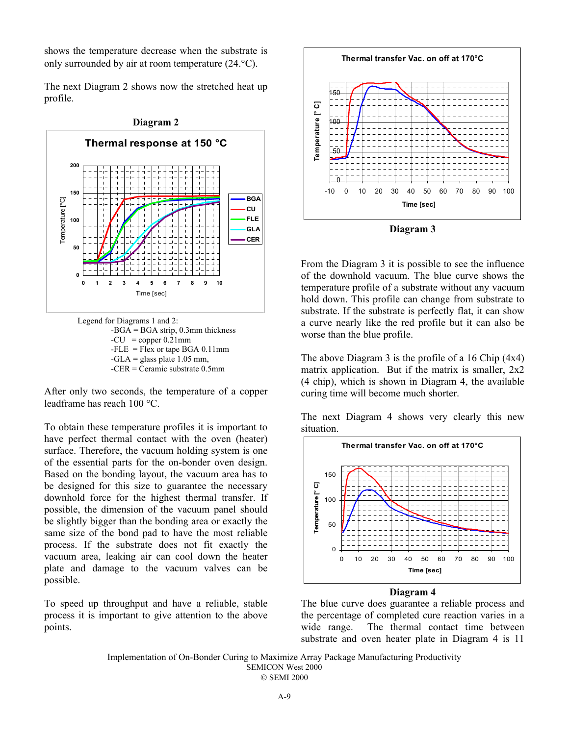shows the temperature decrease when the substrate is only surrounded by air at room temperature (24.°C).

The next Diagram 2 shows now the stretched heat up profile.



Legend for Diagrams 1 and 2:  $-BGA = BGA$  strip, 0.3mm thickness  $-CU = copper 0.21mm$  $-$ FLE = Flex or tape BGA 0.11mm  $-GLA =$  glass plate 1.05 mm, -CER = Ceramic substrate 0.5mm

After only two seconds, the temperature of a copper leadframe has reach 100 °C.

To obtain these temperature profiles it is important to have perfect thermal contact with the oven (heater) surface. Therefore, the vacuum holding system is one of the essential parts for the on-bonder oven design. Based on the bonding layout, the vacuum area has to be designed for this size to guarantee the necessary downhold force for the highest thermal transfer. If possible, the dimension of the vacuum panel should be slightly bigger than the bonding area or exactly the same size of the bond pad to have the most reliable process. If the substrate does not fit exactly the vacuum area, leaking air can cool down the heater plate and damage to the vacuum valves can be possible.

To speed up throughput and have a reliable, stable process it is important to give attention to the above points.



**Diagram 3**

From the Diagram 3 it is possible to see the influence of the downhold vacuum. The blue curve shows the temperature profile of a substrate without any vacuum hold down. This profile can change from substrate to substrate. If the substrate is perfectly flat, it can show a curve nearly like the red profile but it can also be worse than the blue profile.

The above Diagram 3 is the profile of a 16 Chip (4x4) matrix application. But if the matrix is smaller, 2x2 (4 chip), which is shown in Diagram 4, the available curing time will become much shorter.

The next Diagram 4 shows very clearly this new situation.



#### **Diagram 4**

The blue curve does guarantee a reliable process and the percentage of completed cure reaction varies in a wide range. The thermal contact time between substrate and oven heater plate in Diagram 4 is 11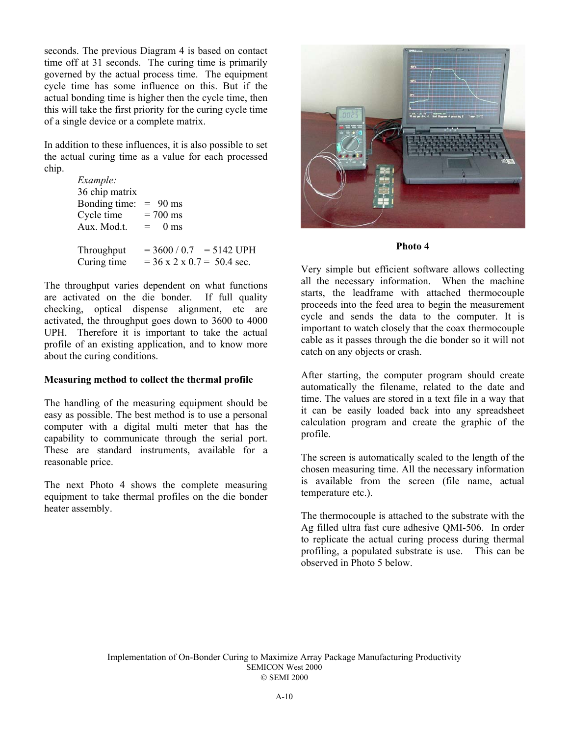seconds. The previous Diagram 4 is based on contact time off at 31 seconds. The curing time is primarily governed by the actual process time. The equipment cycle time has some influence on this. But if the actual bonding time is higher then the cycle time, then this will take the first priority for the curing cycle time of a single device or a complete matrix.

In addition to these influences, it is also possible to set the actual curing time as a value for each processed chip.

| Example:       |                                        |
|----------------|----------------------------------------|
| 36 chip matrix |                                        |
| Bonding time:  | $= 90$ ms                              |
| Cycle time     | $= 700$ ms                             |
| Aux. Mod.t.    | $= 0$ ms                               |
|                |                                        |
| Throughput     | $= 3600 / 0.7 = 5142 \text{ UPH}$      |
| Curing time    | $= 36 \times 2 \times 0.7 = 50.4$ sec. |

The throughput varies dependent on what functions are activated on the die bonder. If full quality checking, optical dispense alignment, etc are activated, the throughput goes down to 3600 to 4000 UPH. Therefore it is important to take the actual profile of an existing application, and to know more about the curing conditions.

#### **Measuring method to collect the thermal profile**

The handling of the measuring equipment should be easy as possible. The best method is to use a personal computer with a digital multi meter that has the capability to communicate through the serial port. These are standard instruments, available for a reasonable price.

The next Photo 4 shows the complete measuring equipment to take thermal profiles on the die bonder heater assembly.



#### **Photo 4**

Very simple but efficient software allows collecting all the necessary information. When the machine starts, the leadframe with attached thermocouple proceeds into the feed area to begin the measurement cycle and sends the data to the computer. It is important to watch closely that the coax thermocouple cable as it passes through the die bonder so it will not catch on any objects or crash.

After starting, the computer program should create automatically the filename, related to the date and time. The values are stored in a text file in a way that it can be easily loaded back into any spreadsheet calculation program and create the graphic of the profile.

The screen is automatically scaled to the length of the chosen measuring time. All the necessary information is available from the screen (file name, actual temperature etc.).

The thermocouple is attached to the substrate with the Ag filled ultra fast cure adhesive QMI-506. In order to replicate the actual curing process during thermal profiling, a populated substrate is use. This can be observed in Photo 5 below.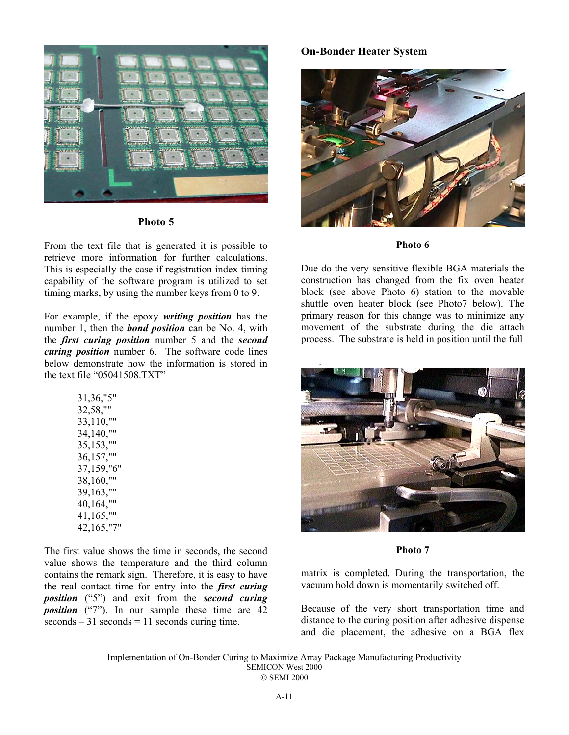

**Photo 5**

From the text file that is generated it is possible to retrieve more information for further calculations. This is especially the case if registration index timing capability of the software program is utilized to set timing marks, by using the number keys from 0 to 9.

For example, if the epoxy *writing position* has the number 1, then the *bond position* can be No. 4, with the *first curing position* number 5 and the *second curing position* number 6. The software code lines below demonstrate how the information is stored in the text file "05041508.TXT"

| 31, 36, "5" |
|-------------|
| 32,58,""    |
| 33,110,"    |
| 34,140,"    |
| 35,153,"    |
| 36,157,"    |
| 37,159,"6"  |
| 38,160,""   |
| 39,163,""   |
| 40,164,""   |
| 41,165,"    |
| 42,165,"7   |
|             |

The first value shows the time in seconds, the second value shows the temperature and the third column contains the remark sign. Therefore, it is easy to have the real contact time for entry into the *first curing position* ("5") and exit from the *second curing position* ("7"). In our sample these time are 42  $seconds - 31 seconds = 11 seconds curing time.$ 

# **On-Bonder Heater System**



#### **Photo 6**

Due do the very sensitive flexible BGA materials the construction has changed from the fix oven heater block (see above Photo 6) station to the movable shuttle oven heater block (see Photo7 below). The primary reason for this change was to minimize any movement of the substrate during the die attach process. The substrate is held in position until the full



#### **Photo 7**

matrix is completed. During the transportation, the vacuum hold down is momentarily switched off.

Because of the very short transportation time and distance to the curing position after adhesive dispense and die placement, the adhesive on a BGA flex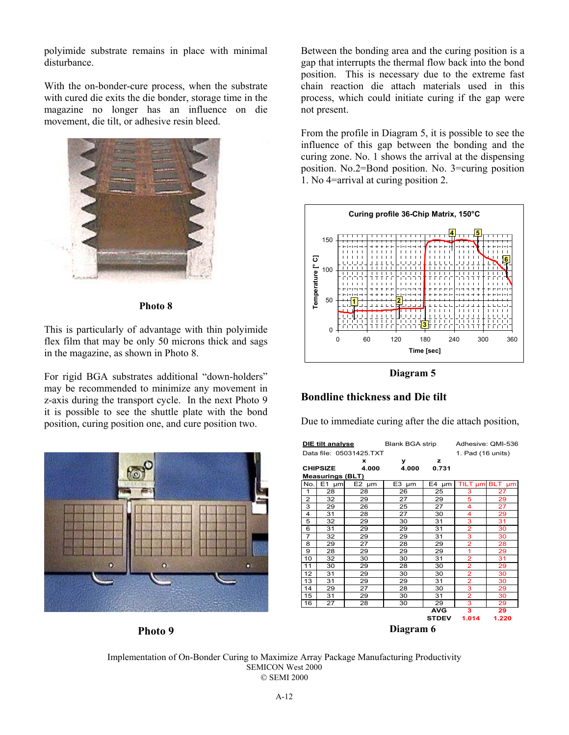polyimide substrate remains in place with minimal disturbance.

With the on-bonder-cure process, when the substrate with cured die exits the die bonder, storage time in the magazine no longer has an influence on die movement, die tilt, or adhesive resin bleed.



**Photo 8**

This is particularly of advantage with thin polyimide flex film that may be only 50 microns thick and sags in the magazine, as shown in Photo 8.

For rigid BGA substrates additional "down-holders" may be recommended to minimize any movement in z-axis during the transport cycle. In the next Photo 9 it is possible to see the shuttle plate with the bond position, curing position one, and cure position two.



**Photo 9**

Between the bonding area and the curing position is a gap that interrupts the thermal flow back into the bond position. This is necessary due to the extreme fast chain reaction die attach materials used in this process, which could initiate curing if the gap were not present.

From the profile in Diagram 5, it is possible to see the influence of this gap between the bonding and the curing zone. No. 1 shows the arrival at the dispensing position. No.2=Bond position. No. 3=curing position 1. No 4=arrival at curing position 2.



**Diagram 5**

# **Bondline thickness and Die tilt**

Due to immediate curing after the die attach position,

| DIE tilt analyse        |                         | Blank BGA strip |            |                   | Adhesive: QMI-536 |       |
|-------------------------|-------------------------|-----------------|------------|-------------------|-------------------|-------|
| Data file: 05031425.TXT |                         |                 |            | 1. Pad (16 units) |                   |       |
|                         |                         | x               | У          | z                 |                   |       |
|                         | <b>CHIPSIZE</b>         | 4.000           | 4.000      | 0.731             |                   |       |
|                         | <b>Measurings (BLT)</b> |                 |            |                   |                   |       |
| No.                     | $E1$ µm                 | $E2 \mu m$      | $E3 \mu m$ | $E4 \mu m$        | TILT µm BLT       | µm    |
| 1                       | 28                      | 28              | 26         | 25                | 3                 | 27    |
| 2                       | 32                      | 29              | 27         | 29                | 5                 | 29    |
| 3                       | 29                      | 26              | 25         | 27                | 4                 | 27    |
| 4                       | 31                      | 28              | 27         | 30                | 4                 | 29    |
| 5                       | 32                      | 29              | 30         | 31                | 3                 | 31    |
| 6                       | 31                      | 29              | 29         | 31                | $\overline{2}$    | 30    |
| $\overline{7}$          | 32                      | 29              | 29         | 31                | 3                 | 30    |
| 8                       | 29                      | 27              | 28         | 29                | $\overline{2}$    | 28    |
| 9                       | 28                      | 29              | 29         | 29                | 1                 | 29    |
| 10                      | 32                      | 30              | 30         | 31                | $\overline{2}$    | 31    |
| 11                      | 30                      | 29              | 28         | 30                | $\overline{2}$    | 29    |
| 12                      | 31                      | 29              | 30         | 30                | $\overline{2}$    | 30    |
| 13                      | 31                      | 29              | 29         | 31                | $\overline{2}$    | 30    |
| 14                      | 29                      | 27              | 28         | 30                | 3                 | 29    |
| 15                      | 31                      | 29              | 30         | 31                | $\overline{2}$    | 30    |
| 16                      | 27                      | 28              | 30         | 29                | 3                 | 29    |
|                         |                         |                 |            | <b>AVG</b>        | 3                 | 29    |
|                         |                         |                 |            | <b>STDEV</b>      | 1.014             | 1.220 |
| Diagram 6               |                         |                 |            |                   |                   |       |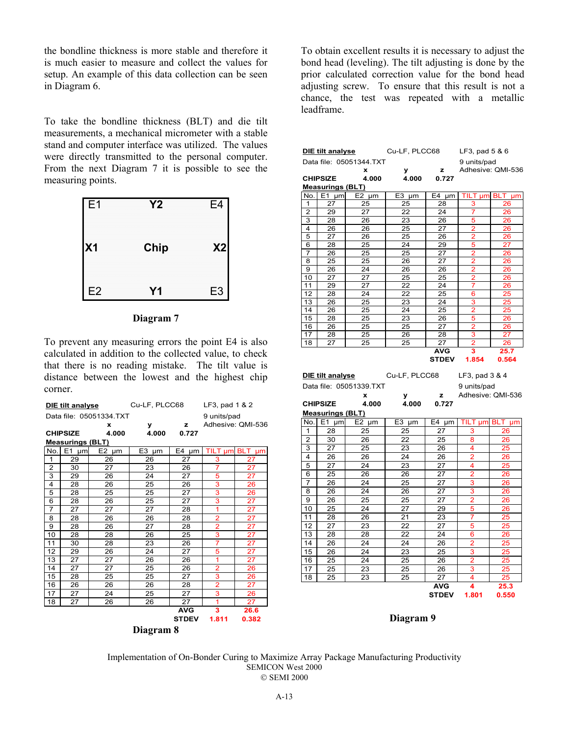the bondline thickness is more stable and therefore it is much easier to measure and collect the values for setup. An example of this data collection can be seen in Diagram 6.

To take the bondline thickness (BLT) and die tilt measurements, a mechanical micrometer with a stable stand and computer interface was utilized. The values were directly transmitted to the personal computer. From the next Diagram 7 it is possible to see the measuring points.





To prevent any measuring errors the point E4 is also calculated in addition to the collected value, to check that there is no reading mistake. The tilt value is distance between the lowest and the highest chip corner.

| DIE tilt analyse        |                      | Cu-LF, PLCC68        |          | LF3, pad 1 & 2 |                |                   |
|-------------------------|----------------------|----------------------|----------|----------------|----------------|-------------------|
| Data file: 05051334.TXT |                      |                      |          | 9 units/pad    |                |                   |
|                         |                      | x                    | У        | z              |                | Adhesive: QMI-536 |
|                         | <b>CHIPSIZE</b>      | 4.000                | 4.000    | 0.727          |                |                   |
| <b>Measurings (BLT)</b> |                      |                      |          |                |                |                   |
| No.                     | E <sub>1</sub><br>µm | E <sub>2</sub><br>μm | E3<br>um | E4<br>µm       | TILT µm BLT    | um                |
| 1                       | 29                   | 26                   | 26       | 27             | 3              | 27                |
| $\overline{2}$          | 30                   | 27                   | 23       | 26             | 7              | 27                |
| 3                       | 29                   | 26                   | 24       | 27             | 5              | $\overline{27}$   |
| 4                       | 28                   | 26                   | 25       | 26             | 3              | 26                |
| 5                       | 28                   | 25                   | 25       | 27             | 3              | 26                |
| 6                       | 28                   | 26                   | 25       | 27             | 3              | 27                |
| $\overline{7}$          | 27                   | 27                   | 27       | 28             | 1              | 27                |
| 8                       | 28                   | 26                   | 26       | 28             | $\overline{2}$ | 27                |
| 9                       | 28                   | 26                   | 27       | 28             | $\overline{2}$ | 27                |
| 10                      | 28                   | 28                   | 26       | 25             | 3              | 27                |
| 11                      | 30                   | 28                   | 23       | 26             | 7              | 27                |
| 12                      | 29                   | 26                   | 24       | 27             | 5              | 27                |
| 13                      | 27                   | 27                   | 26       | 26             | 1              | 27                |
| 14                      | 27                   | 27                   | 25       | 26             | $\overline{2}$ | 26                |
| 15                      | 28                   | 25                   | 25       | 27             | 3              | 26                |
| 16                      | 26                   | 26                   | 26       | 28             | $\overline{2}$ | 27                |
| 17                      | 27                   | 24                   | 25       | 27             | 3              | 26                |
| 18                      | 27                   | 26                   | 26       | 27             | 1              | 27                |
|                         |                      |                      |          | <b>AVG</b>     | 3              | 26.6              |
|                         |                      |                      |          | <b>STDEV</b>   | 1.811          | 0.382             |
| Diagram 8               |                      |                      |          |                |                |                   |

To obtain excellent results it is necessary to adjust the bond head (leveling). The tilt adjusting is done by the prior calculated correction value for the bond head adjusting screw. To ensure that this result is not a chance, the test was repeated with a metallic leadframe.

| DIE tilt analyse                           |                         | Cu-LF, PLCC68           |               | LF3, pad 5 & 6 |                         |                   |  |
|--------------------------------------------|-------------------------|-------------------------|---------------|----------------|-------------------------|-------------------|--|
| Data file: 05051344.TXT                    |                         |                         |               |                | 9 units/pad             |                   |  |
| x                                          |                         |                         | у             | z              |                         | Adhesive: QMI-536 |  |
|                                            | <b>CHIPSIZE</b>         | 4.000                   | 4.000         | 0.727          |                         |                   |  |
|                                            | <b>Measurings (BLT)</b> |                         |               |                |                         |                   |  |
| No.                                        | $E1$ µm                 | E2 µm                   | $E3 \mu m$    | E4 µm          | TILT µm                 | BLT µm            |  |
| 1                                          | 27                      | 25                      | 25            | 28             | з                       | 26                |  |
| $\overline{2}$                             | 29                      | 27                      | 22            | 24             | 7                       | 26                |  |
| 3                                          | 28                      | 26                      | 23            | 26             | 5                       | 26                |  |
| $\overline{\mathbf{4}}$                    | 26                      | 26                      | 25            | 27             | $\overline{2}$          | 26                |  |
| 5                                          | 27                      | 26                      | 25            | 26             | $\overline{2}$          | 26                |  |
| 6                                          | 28                      | 25                      | 24            | 29             | 5                       | 27                |  |
| 7                                          | 26                      | 25                      | 25            | 27             | $\overline{2}$          | 26                |  |
| 8                                          | 25                      | 25                      | 26            | 27             | 2                       | 26                |  |
| 9                                          | 26                      | 24                      | 26            | 26             | 2                       | 26                |  |
| 10                                         | 27                      | 27                      | 25            | 25             | $\overline{2}$          | 26                |  |
| 11                                         | 29                      | 27                      | 22            | 24             | 7                       | 26                |  |
| 12                                         | 28                      | 24                      | 22            | 25             | 6                       | 25                |  |
| 13                                         | 26                      | 25                      | 23            | 24             | 3                       | 25                |  |
| 14                                         | 26                      | 25                      | 24            | 25             | 2                       | 25                |  |
| 15                                         | 28                      | 25                      | 23            | 26             | 5                       | 26                |  |
| 16                                         | 26                      | 25                      | 25            | 27             | 2                       | 26                |  |
| 17                                         | 28                      | 25                      | 26            | 28             | 3                       | 27                |  |
| 18                                         | 27                      | 25                      | 25            | 27             | 2                       | 26                |  |
|                                            |                         |                         |               | <b>AVG</b>     | з                       | 25.7              |  |
|                                            |                         |                         |               | <b>STDEV</b>   | 1.854                   | 0.564             |  |
|                                            |                         |                         |               |                |                         |                   |  |
|                                            | DIE tilt analyse        |                         | Cu-LF, PLCC68 |                | LF3, pad 3 & 4          |                   |  |
|                                            |                         | Data file: 05051339.TXT |               |                | 9 units/pad             |                   |  |
|                                            | x                       |                         | z<br>У        |                |                         | Adhesive: QMI-536 |  |
| <b>CHIPSIZE</b><br>4.000<br>4.000<br>0.727 |                         |                         |               |                |                         |                   |  |
|                                            |                         |                         |               |                |                         |                   |  |
|                                            | <b>Measurings (BLT)</b> |                         |               |                |                         |                   |  |
| No.                                        | $E1 \mu m$              | $E2 \mu m$              | $E3$ µm       | $E4 \mu m$     | TILT µm                 | BLT µm            |  |
| 1                                          | 28                      | 25                      | 25            | 27             | 3                       | 26                |  |
| $\overline{2}$                             | 30                      | 26                      | 22            | 25             | 8                       | 26                |  |
| 3                                          | 27                      | 25                      | 23            | 26             | 4                       | 25                |  |
| 4                                          | 26                      | 26                      | 24            | 26             | 2                       | 26                |  |
| 5                                          | 27                      | 24                      | 23            | 27             | 4                       | 25                |  |
| 6                                          | 25                      | 26                      | 26            | 27             | $\overline{\mathbf{c}}$ | 26                |  |
| 7                                          | 26                      | 24                      | 25            | 27             | 3                       | 26                |  |
| 8                                          | 26                      | 24                      | 26            | 27             | 3                       | 26                |  |
| 9                                          | 26                      | 25                      | 25            | 27             | $\overline{2}$          | 26                |  |
| 10                                         | 25                      | 24                      | 27            | 29             | 5                       | 26                |  |
| 11                                         | 28                      | 26                      | 21            | 23             | 7                       | 25                |  |
|                                            |                         |                         |               |                |                         |                   |  |
|                                            |                         |                         |               |                |                         |                   |  |
| 12                                         | 27                      | 23                      | 22            | 27             | 5                       | 25                |  |
| 13                                         | 28                      | 28                      | 22            | 24             | 6                       | 26                |  |
| 14                                         | 26                      | 24                      | 24            | 26             | 2                       | 25                |  |
| 15                                         | 26                      | 24                      | 23            | 25             | 3                       | 25                |  |
| 16                                         | 25                      | 24                      | 25            | 26             | $\overline{2}$          | 25                |  |
| 17                                         | 25                      | 23                      | 25            | 26             | 3                       | 25                |  |
| 18                                         | 25                      | 23                      | 25            | 27             | 4                       | 25                |  |
|                                            |                         |                         |               | <b>AVG</b>     | 4                       | 25.3              |  |
|                                            |                         |                         |               | <b>STDEV</b>   | 1.801                   | 0.550             |  |

**Diagram 9**